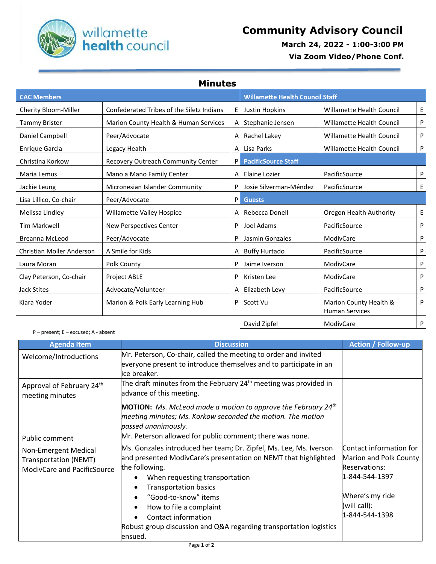

 **March 24, 2022 - 1:00-3:00 PM**

 **Via Zoom Video/Phone Conf.**

| <b>Minutes</b> |  |  |  |
|----------------|--|--|--|
|                |  |  |  |

| <b>CAC Members</b>        |                                           |   | <b>Willamette Health Council Staff</b> |                                                 |   |
|---------------------------|-------------------------------------------|---|----------------------------------------|-------------------------------------------------|---|
| Cherity Bloom-Miller      | Confederated Tribes of the Siletz Indians | E | Justin Hopkins                         | Willamette Health Council                       | E |
| <b>Tammy Brister</b>      | Marion County Health & Human Services     | A | Stephanie Jensen                       | Willamette Health Council                       | P |
| Daniel Campbell           | Peer/Advocate                             | A | Rachel Lakey                           | Willamette Health Council                       | P |
| <b>Enrique Garcia</b>     | Legacy Health                             | A | Lisa Parks                             | Willamette Health Council                       | P |
| Christina Korkow          | Recovery Outreach Community Center        | P | <b>PacificSource Staff</b>             |                                                 |   |
| Maria Lemus               | Mano a Mano Family Center                 | A | Elaine Lozier                          | PacificSource                                   | P |
| Jackie Leung              | Micronesian Islander Community            | P | Josie Silverman-Méndez                 | PacificSource                                   | Ε |
| Lisa Lillico, Co-chair    | Peer/Advocate                             | P | <b>Guests</b>                          |                                                 |   |
| Melissa Lindley           | <b>Willamette Valley Hospice</b>          | A | Rebecca Donell                         | Oregon Health Authority                         | E |
| <b>Tim Markwell</b>       | <b>New Perspectives Center</b>            | P | Joel Adams                             | PacificSource                                   | P |
| <b>Breanna McLeod</b>     | Peer/Advocate                             | P | Jasmin Gonzales                        | ModivCare                                       | P |
| Christian Moller Anderson | A Smile for Kids                          | A | <b>Buffy Hurtado</b>                   | PacificSource                                   | P |
| Laura Moran               | Polk County                               | P | Jaime Iverson                          | ModivCare                                       | P |
| Clay Peterson, Co-chair   | Project ABLE                              | P | Kristen Lee                            | ModivCare                                       | P |
| <b>Jack Stites</b>        | Advocate/Volunteer                        | A | Elizabeth Levy                         | PacificSource                                   | P |
| Kiara Yoder               | Marion & Polk Early Learning Hub          | P | Scott Vu                               | Marion County Health &<br><b>Human Services</b> | P |
|                           |                                           |   | David Zipfel                           | ModivCare                                       | P |

P – present; E – excused; A - absent

| <b>Agenda Item</b>                    | <b>Discussion</b>                                                                                                                    | <b>Action / Follow-up</b> |
|---------------------------------------|--------------------------------------------------------------------------------------------------------------------------------------|---------------------------|
| Welcome/Introductions                 | Mr. Peterson, Co-chair, called the meeting to order and invited<br>everyone present to introduce themselves and to participate in an |                           |
|                                       | lice breaker.                                                                                                                        |                           |
| Approval of February 24 <sup>th</sup> | The draft minutes from the February 24 <sup>th</sup> meeting was provided in                                                         |                           |
| meeting minutes                       | advance of this meeting.                                                                                                             |                           |
|                                       | <b>MOTION:</b> Ms. McLeod made a motion to approve the February 24 <sup>th</sup>                                                     |                           |
|                                       | meeting minutes; Ms. Korkow seconded the motion. The motion                                                                          |                           |
|                                       | passed unanimously.                                                                                                                  |                           |
| Public comment                        | Mr. Peterson allowed for public comment; there was none.                                                                             |                           |
| Non-Emergent Medical                  | Ms. Gonzales introduced her team; Dr. Zipfel, Ms. Lee, Ms. Iverson                                                                   | Contact information for   |
| <b>Transportation (NEMT)</b>          | and presented ModivCare's presentation on NEMT that highlighted                                                                      | Marion and Polk County    |
| ModivCare and PacificSource           | the following.                                                                                                                       | <b>Reservations:</b>      |
|                                       | When requesting transportation                                                                                                       | 1-844-544-1397            |
|                                       | <b>Transportation basics</b>                                                                                                         |                           |
|                                       | "Good-to-know" items                                                                                                                 | Where's my ride           |
|                                       | How to file a complaint                                                                                                              | (will call):              |
|                                       | Contact information                                                                                                                  | 1-844-544-1398            |
|                                       | Robust group discussion and Q&A regarding transportation logistics                                                                   |                           |
|                                       | ensued.                                                                                                                              |                           |